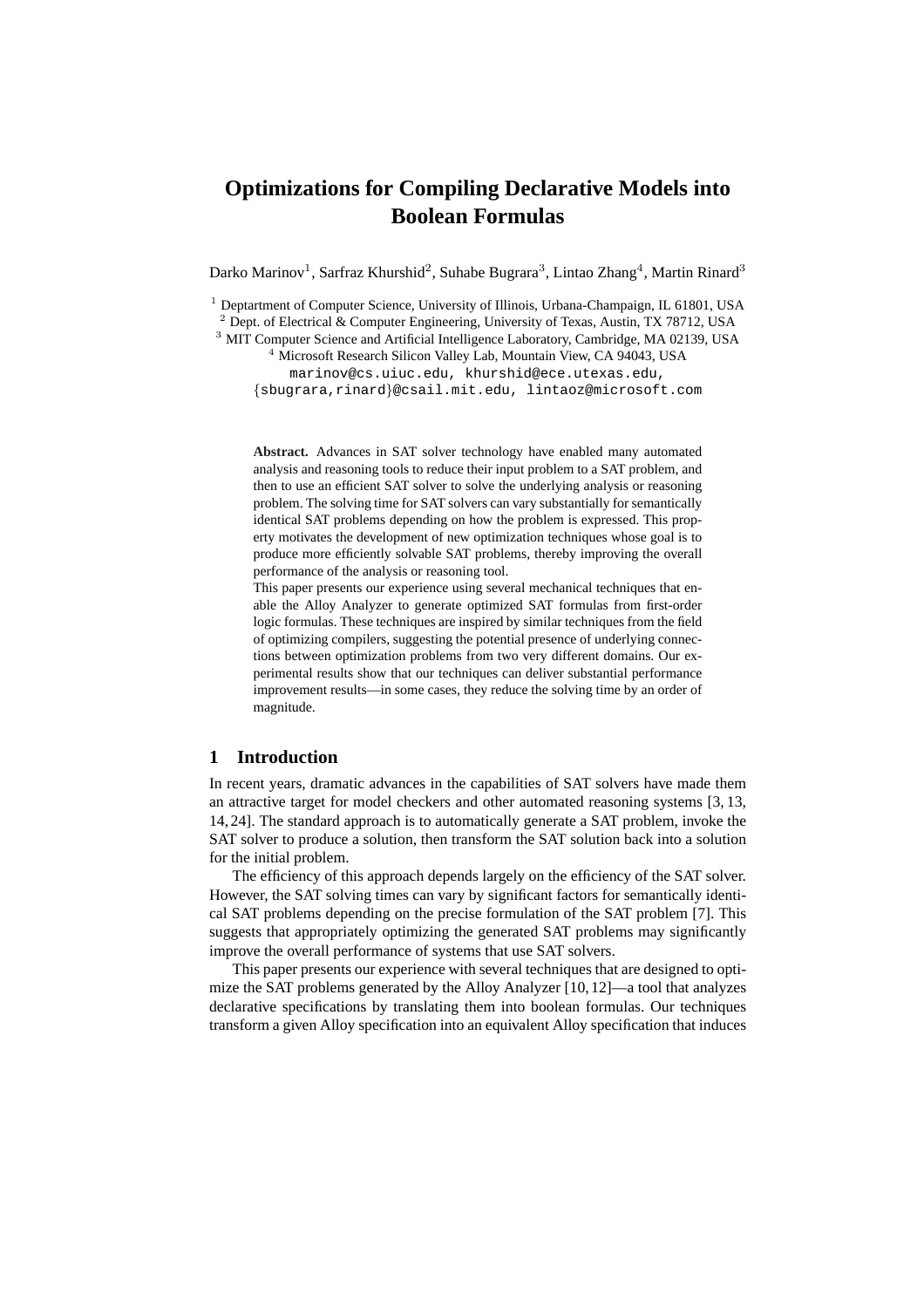# **Optimizations for Compiling Declarative Models into Boolean Formulas**

Darko Marinov<sup>1</sup>, Sarfraz Khurshid<sup>2</sup>, Suhabe Bugrara<sup>3</sup>, Lintao Zhang<sup>4</sup>, Martin Rinard<sup>3</sup>

<sup>1</sup> Deptartment of Computer Science, University of Illinois, Urbana-Champaign, IL 61801, USA

<sup>2</sup> Dept. of Electrical & Computer Engineering, University of Texas, Austin, TX 78712, USA

<sup>3</sup> MIT Computer Science and Artificial Intelligence Laboratory, Cambridge, MA 02139, USA

<sup>4</sup> Microsoft Research Silicon Valley Lab, Mountain View, CA 94043, USA marinov@cs.uiuc.edu, khurshid@ece.utexas.edu, {sbugrara,rinard}@csail.mit.edu, lintaoz@microsoft.com

**Abstract.** Advances in SAT solver technology have enabled many automated analysis and reasoning tools to reduce their input problem to a SAT problem, and then to use an efficient SAT solver to solve the underlying analysis or reasoning problem. The solving time for SAT solvers can vary substantially for semantically identical SAT problems depending on how the problem is expressed. This property motivates the development of new optimization techniques whose goal is to produce more efficiently solvable SAT problems, thereby improving the overall performance of the analysis or reasoning tool.

This paper presents our experience using several mechanical techniques that enable the Alloy Analyzer to generate optimized SAT formulas from first-order logic formulas. These techniques are inspired by similar techniques from the field of optimizing compilers, suggesting the potential presence of underlying connections between optimization problems from two very different domains. Our experimental results show that our techniques can deliver substantial performance improvement results—in some cases, they reduce the solving time by an order of magnitude.

# **1 Introduction**

In recent years, dramatic advances in the capabilities of SAT solvers have made them an attractive target for model checkers and other automated reasoning systems [3, 13, 14, 24]. The standard approach is to automatically generate a SAT problem, invoke the SAT solver to produce a solution, then transform the SAT solution back into a solution for the initial problem.

The efficiency of this approach depends largely on the efficiency of the SAT solver. However, the SAT solving times can vary by significant factors for semantically identical SAT problems depending on the precise formulation of the SAT problem [7]. This suggests that appropriately optimizing the generated SAT problems may significantly improve the overall performance of systems that use SAT solvers.

This paper presents our experience with several techniques that are designed to optimize the SAT problems generated by the Alloy Analyzer [10, 12]—a tool that analyzes declarative specifications by translating them into boolean formulas. Our techniques transform a given Alloy specification into an equivalent Alloy specification that induces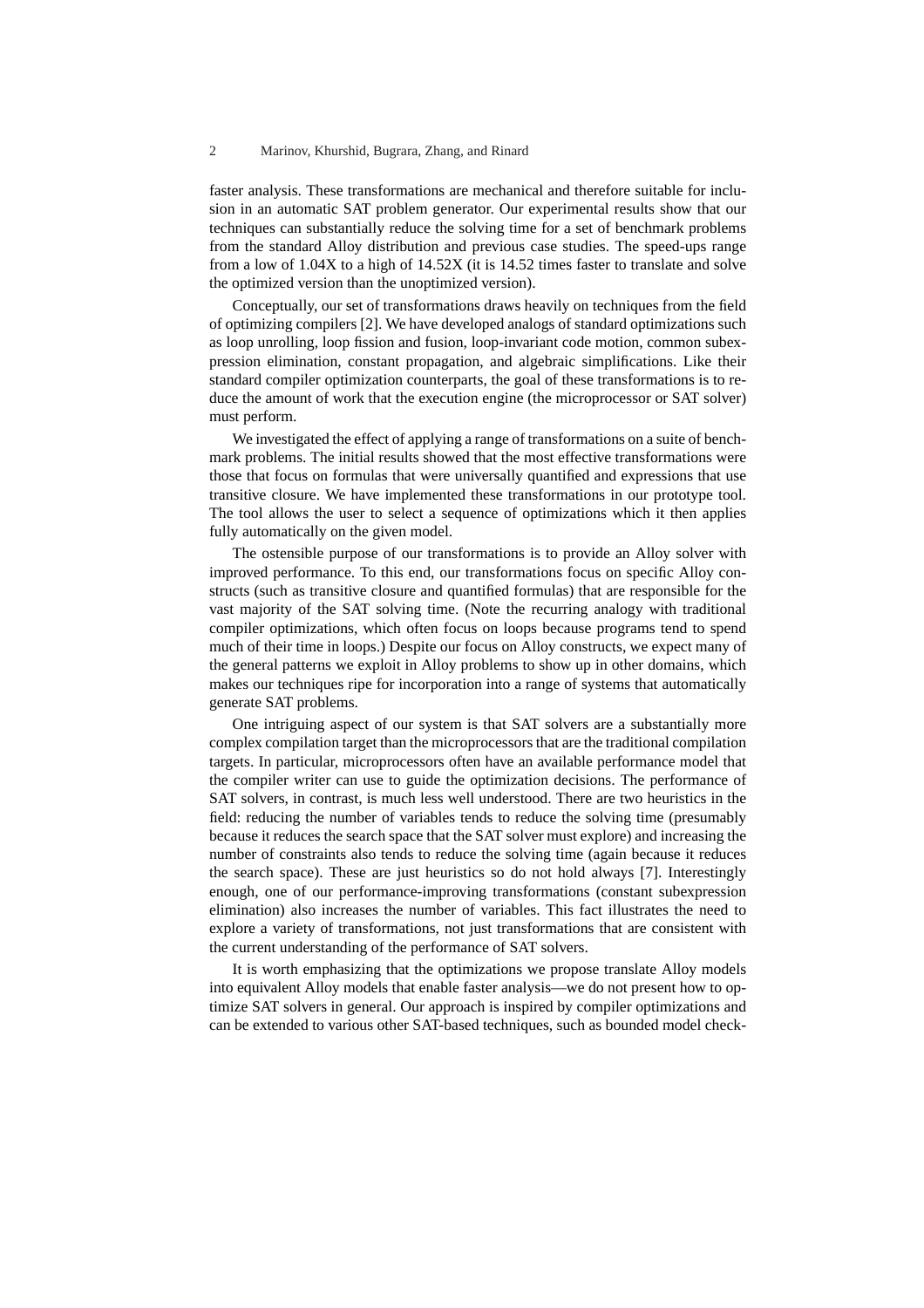faster analysis. These transformations are mechanical and therefore suitable for inclusion in an automatic SAT problem generator. Our experimental results show that our techniques can substantially reduce the solving time for a set of benchmark problems from the standard Alloy distribution and previous case studies. The speed-ups range from a low of 1.04X to a high of 14.52X (it is 14.52 times faster to translate and solve the optimized version than the unoptimized version).

Conceptually, our set of transformations draws heavily on techniques from the field of optimizing compilers [2]. We have developed analogs of standard optimizations such as loop unrolling, loop fission and fusion, loop-invariant code motion, common subexpression elimination, constant propagation, and algebraic simplifications. Like their standard compiler optimization counterparts, the goal of these transformations is to reduce the amount of work that the execution engine (the microprocessor or SAT solver) must perform.

We investigated the effect of applying a range of transformations on a suite of benchmark problems. The initial results showed that the most effective transformations were those that focus on formulas that were universally quantified and expressions that use transitive closure. We have implemented these transformations in our prototype tool. The tool allows the user to select a sequence of optimizations which it then applies fully automatically on the given model.

The ostensible purpose of our transformations is to provide an Alloy solver with improved performance. To this end, our transformations focus on specific Alloy constructs (such as transitive closure and quantified formulas) that are responsible for the vast majority of the SAT solving time. (Note the recurring analogy with traditional compiler optimizations, which often focus on loops because programs tend to spend much of their time in loops.) Despite our focus on Alloy constructs, we expect many of the general patterns we exploit in Alloy problems to show up in other domains, which makes our techniques ripe for incorporation into a range of systems that automatically generate SAT problems.

One intriguing aspect of our system is that SAT solvers are a substantially more complex compilation target than the microprocessors that are the traditional compilation targets. In particular, microprocessors often have an available performance model that the compiler writer can use to guide the optimization decisions. The performance of SAT solvers, in contrast, is much less well understood. There are two heuristics in the field: reducing the number of variables tends to reduce the solving time (presumably because it reduces the search space that the SAT solver must explore) and increasing the number of constraints also tends to reduce the solving time (again because it reduces the search space). These are just heuristics so do not hold always [7]. Interestingly enough, one of our performance-improving transformations (constant subexpression elimination) also increases the number of variables. This fact illustrates the need to explore a variety of transformations, not just transformations that are consistent with the current understanding of the performance of SAT solvers.

It is worth emphasizing that the optimizations we propose translate Alloy models into equivalent Alloy models that enable faster analysis—we do not present how to optimize SAT solvers in general. Our approach is inspired by compiler optimizations and can be extended to various other SAT-based techniques, such as bounded model check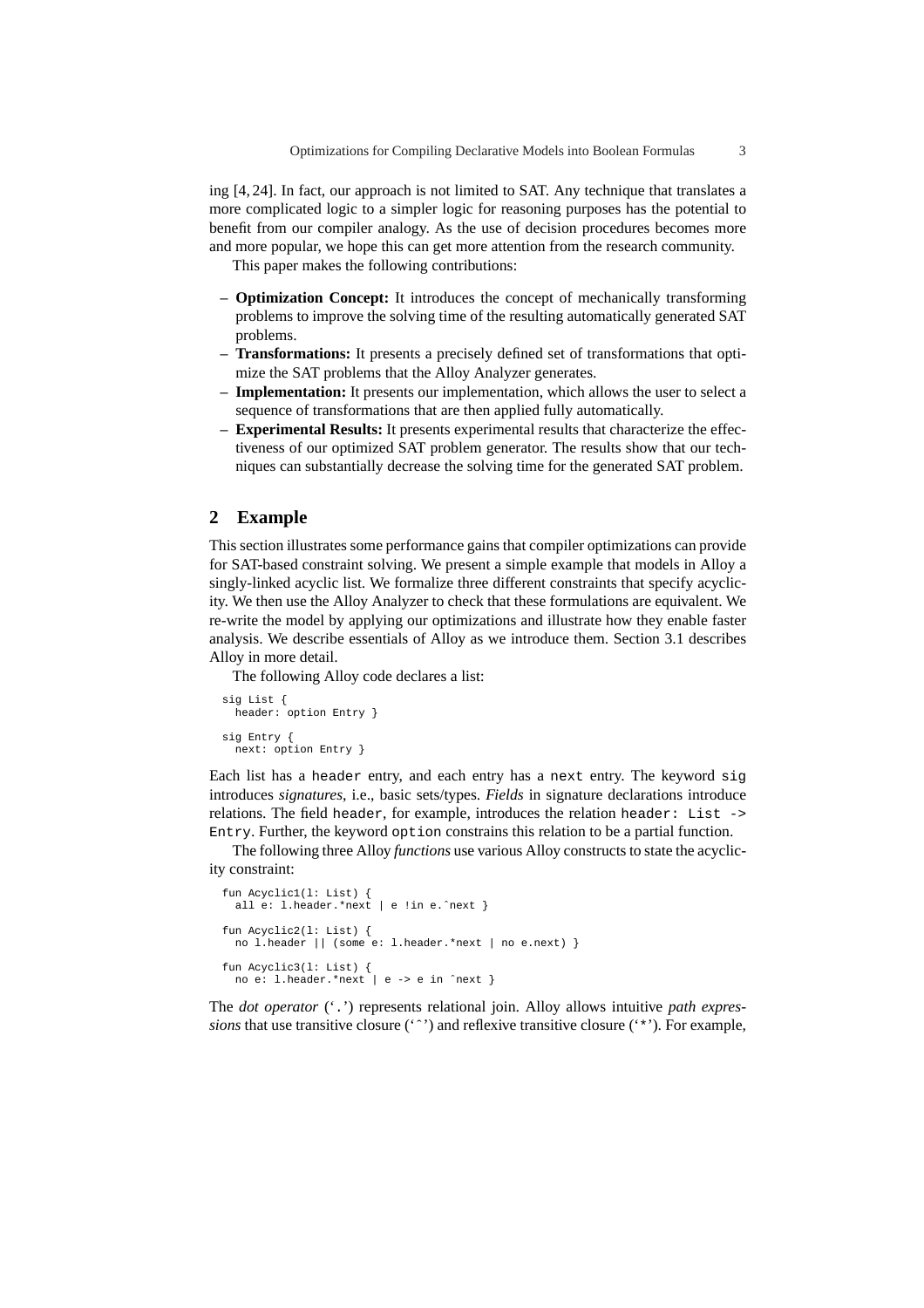ing [4, 24]. In fact, our approach is not limited to SAT. Any technique that translates a more complicated logic to a simpler logic for reasoning purposes has the potential to benefit from our compiler analogy. As the use of decision procedures becomes more and more popular, we hope this can get more attention from the research community.

This paper makes the following contributions:

- **– Optimization Concept:** It introduces the concept of mechanically transforming problems to improve the solving time of the resulting automatically generated SAT problems.
- **– Transformations:** It presents a precisely defined set of transformations that optimize the SAT problems that the Alloy Analyzer generates.
- **– Implementation:** It presents our implementation, which allows the user to select a sequence of transformations that are then applied fully automatically.
- **– Experimental Results:** It presents experimental results that characterize the effectiveness of our optimized SAT problem generator. The results show that our techniques can substantially decrease the solving time for the generated SAT problem.

## **2 Example**

This section illustrates some performance gains that compiler optimizations can provide for SAT-based constraint solving. We present a simple example that models in Alloy a singly-linked acyclic list. We formalize three different constraints that specify acyclicity. We then use the Alloy Analyzer to check that these formulations are equivalent. We re-write the model by applying our optimizations and illustrate how they enable faster analysis. We describe essentials of Alloy as we introduce them. Section 3.1 describes Alloy in more detail.

The following Alloy code declares a list:

```
sig List {
  header: option Entry }
sig Entry {
  next: option Entry }
```
Each list has a header entry, and each entry has a next entry. The keyword sig introduces *signatures*, i.e., basic sets/types. *Fields* in signature declarations introduce relations. The field header, for example, introduces the relation header: List -> Entry. Further, the keyword option constrains this relation to be a partial function.

The following three Alloy *functions* use various Alloy constructs to state the acyclicity constraint:

```
fun Acyclic1(l: List) {
  all e: l.header.*next | e !in e.ˆnext }
fun Acyclic2(l: List) {
  no l.header || (some e: l.header.*next | no e.next) }
fun Acyclic3(l: List) {
no e: l.header.*next | e -> e in ˆnext }
```
The *dot operator* ('.') represents relational join. Alloy allows intuitive *path expressions* that use transitive closure ('`') and reflexive transitive closure ('\*'). For example,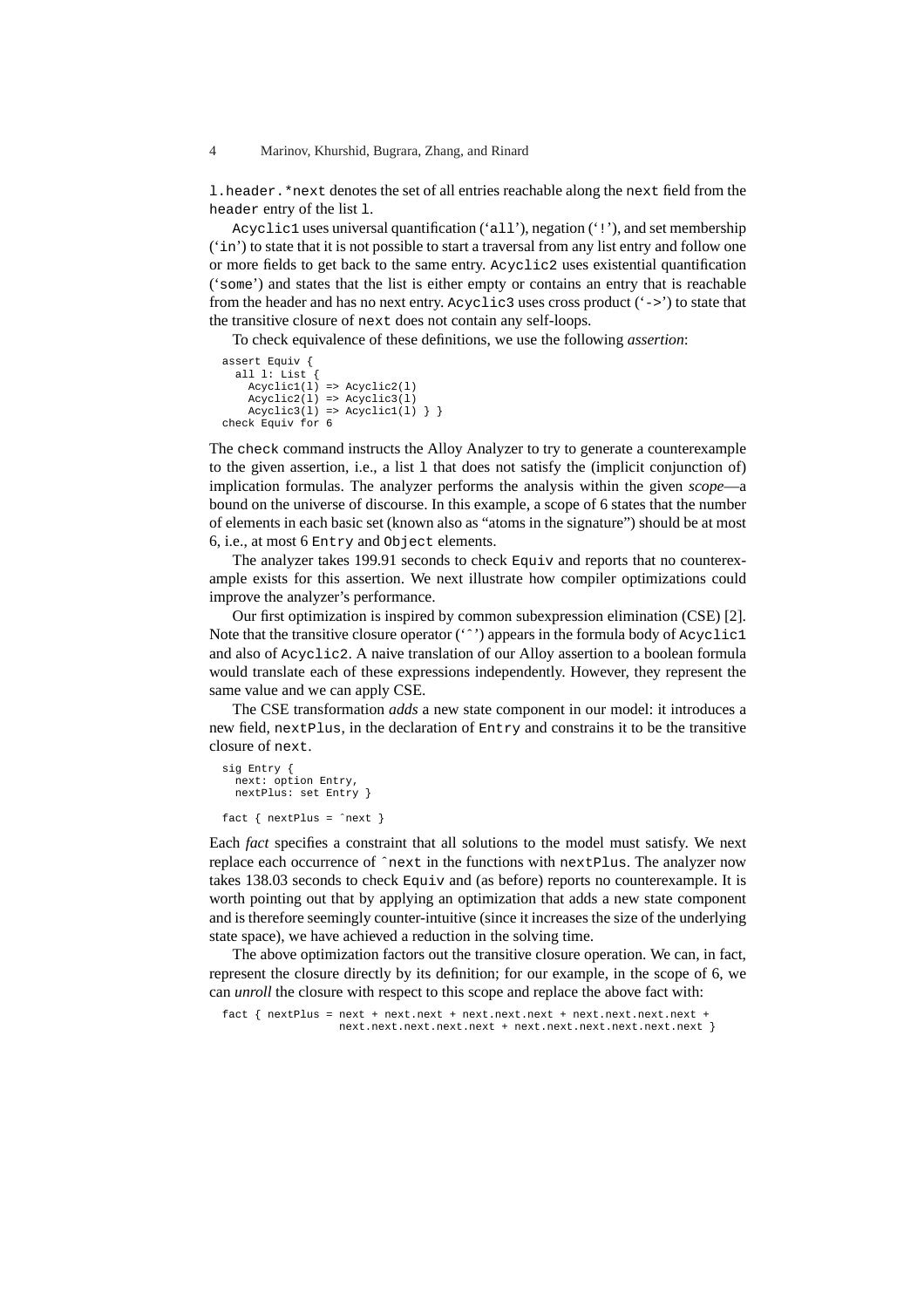l.header.\*next denotes the set of all entries reachable along the next field from the header entry of the list l.

Acyclic1 uses universal quantification ('all'), negation ('!'), and set membership ('in') to state that it is not possible to start a traversal from any list entry and follow one or more fields to get back to the same entry. Acyclic2 uses existential quantification ('some') and states that the list is either empty or contains an entry that is reachable from the header and has no next entry. Acyclic3 uses cross product ('->') to state that the transitive closure of next does not contain any self-loops.

To check equivalence of these definitions, we use the following *assertion*:

```
assert Equiv {
all l: List {
      Acyclic1(l) => Acyclic2(l)
Acyclic2(l) => Acyclic3(l)
      Acyclic3(1) \Rightarrow Acyclic1(1) } }
check Equiv for 6
```
The check command instructs the Alloy Analyzer to try to generate a counterexample to the given assertion, i.e., a list l that does not satisfy the (implicit conjunction of) implication formulas. The analyzer performs the analysis within the given *scope*—a bound on the universe of discourse. In this example, a scope of 6 states that the number of elements in each basic set (known also as "atoms in the signature") should be at most 6, i.e., at most 6 Entry and Object elements.

The analyzer takes 199.91 seconds to check Equiv and reports that no counterexample exists for this assertion. We next illustrate how compiler optimizations could improve the analyzer's performance.

Our first optimization is inspired by common subexpression elimination (CSE) [2]. Note that the transitive closure operator ('^') appears in the formula body of Acyclic1 and also of Acyclic2. A naive translation of our Alloy assertion to a boolean formula would translate each of these expressions independently. However, they represent the same value and we can apply CSE.

The CSE transformation *adds* a new state component in our model: it introduces a new field, nextPlus, in the declaration of Entry and constrains it to be the transitive closure of next.

```
sig Entry {
  next: option Entry,
  nextPlus: set Entry }
fact { nextPlus = ˆnext }
```
Each *fact* specifies a constraint that all solutions to the model must satisfy. We next replace each occurrence of ^next in the functions with next Plus. The analyzer now takes 138.03 seconds to check Equiv and (as before) reports no counterexample. It is worth pointing out that by applying an optimization that adds a new state component and is therefore seemingly counter-intuitive (since it increases the size of the underlying state space), we have achieved a reduction in the solving time.

The above optimization factors out the transitive closure operation. We can, in fact, represent the closure directly by its definition; for our example, in the scope of 6, we can *unroll* the closure with respect to this scope and replace the above fact with:

 $fact$  {  $nextPlus$  =  $next + next.next + next.next.next + next + next.next + next.next + next$ next.next.next.next.next + next.next.next.next.next.next }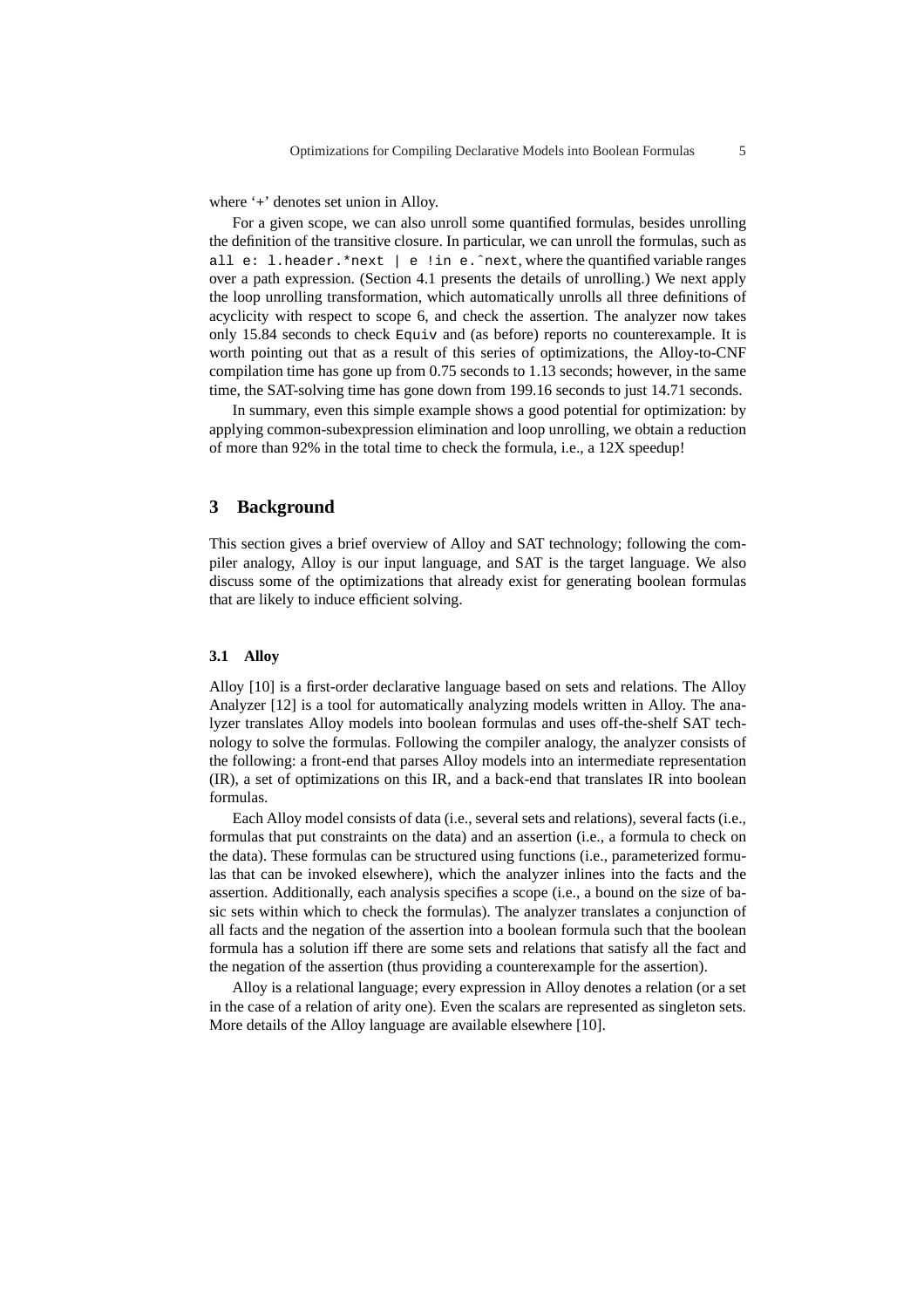where '+' denotes set union in Alloy.

For a given scope, we can also unroll some quantified formulas, besides unrolling the definition of the transitive closure. In particular, we can unroll the formulas, such as all e: l.header.\*next | e !in e.^next, where the quantified variable ranges over a path expression. (Section 4.1 presents the details of unrolling.) We next apply the loop unrolling transformation, which automatically unrolls all three definitions of acyclicity with respect to scope 6, and check the assertion. The analyzer now takes only 15.84 seconds to check Equiv and (as before) reports no counterexample. It is worth pointing out that as a result of this series of optimizations, the Alloy-to-CNF compilation time has gone up from 0.75 seconds to 1.13 seconds; however, in the same time, the SAT-solving time has gone down from 199.16 seconds to just 14.71 seconds.

In summary, even this simple example shows a good potential for optimization: by applying common-subexpression elimination and loop unrolling, we obtain a reduction of more than 92% in the total time to check the formula, i.e., a 12X speedup!

# **3 Background**

This section gives a brief overview of Alloy and SAT technology; following the compiler analogy, Alloy is our input language, and SAT is the target language. We also discuss some of the optimizations that already exist for generating boolean formulas that are likely to induce efficient solving.

## **3.1 Alloy**

Alloy [10] is a first-order declarative language based on sets and relations. The Alloy Analyzer [12] is a tool for automatically analyzing models written in Alloy. The analyzer translates Alloy models into boolean formulas and uses off-the-shelf SAT technology to solve the formulas. Following the compiler analogy, the analyzer consists of the following: a front-end that parses Alloy models into an intermediate representation (IR), a set of optimizations on this IR, and a back-end that translates IR into boolean formulas.

Each Alloy model consists of data (i.e., several sets and relations), several facts (i.e., formulas that put constraints on the data) and an assertion (i.e., a formula to check on the data). These formulas can be structured using functions (i.e., parameterized formulas that can be invoked elsewhere), which the analyzer inlines into the facts and the assertion. Additionally, each analysis specifies a scope (i.e., a bound on the size of basic sets within which to check the formulas). The analyzer translates a conjunction of all facts and the negation of the assertion into a boolean formula such that the boolean formula has a solution iff there are some sets and relations that satisfy all the fact and the negation of the assertion (thus providing a counterexample for the assertion).

Alloy is a relational language; every expression in Alloy denotes a relation (or a set in the case of a relation of arity one). Even the scalars are represented as singleton sets. More details of the Alloy language are available elsewhere [10].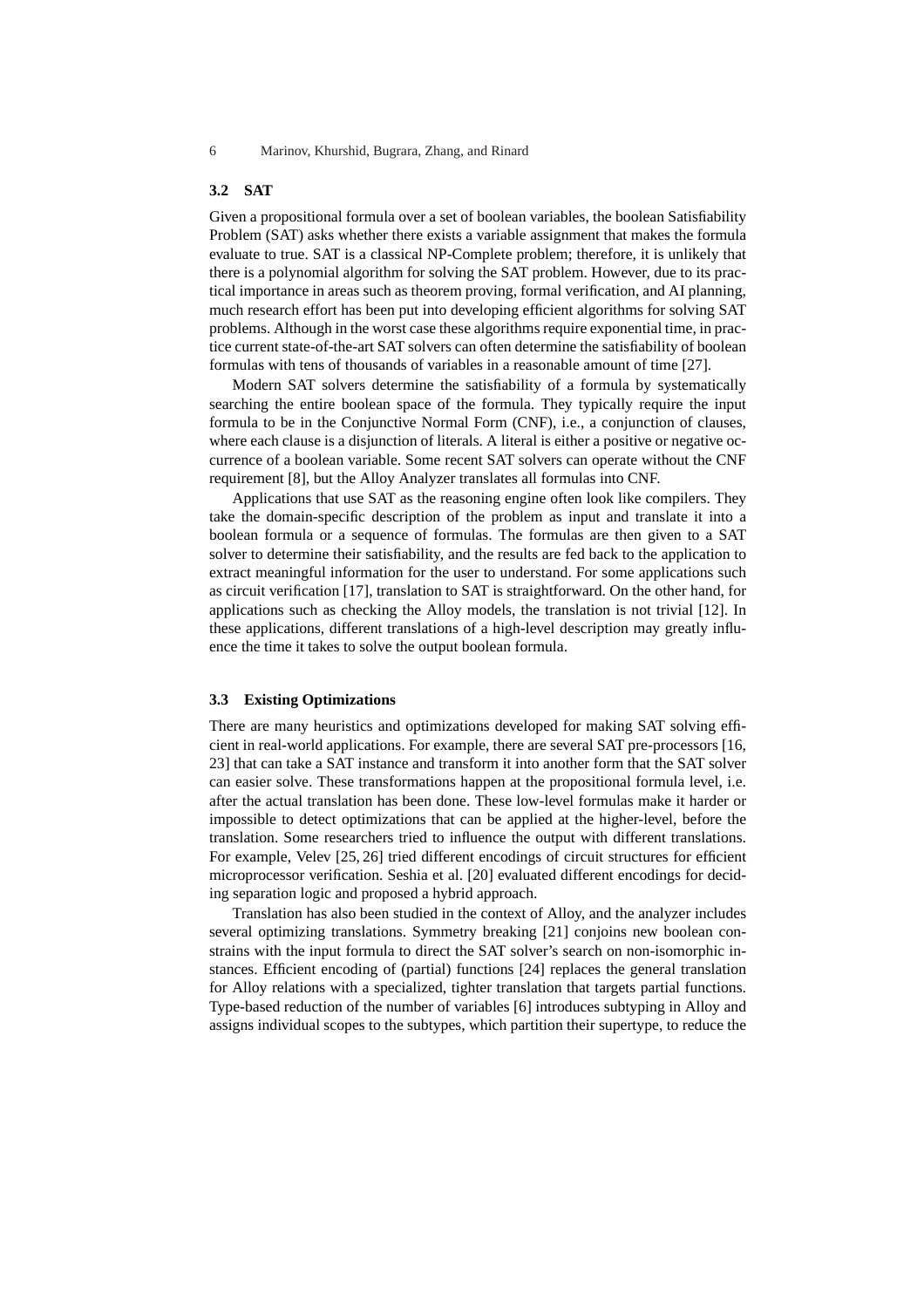#### **3.2 SAT**

Given a propositional formula over a set of boolean variables, the boolean Satisfiability Problem (SAT) asks whether there exists a variable assignment that makes the formula evaluate to true. SAT is a classical NP-Complete problem; therefore, it is unlikely that there is a polynomial algorithm for solving the SAT problem. However, due to its practical importance in areas such as theorem proving, formal verification, and AI planning, much research effort has been put into developing efficient algorithms for solving SAT problems. Although in the worst case these algorithms require exponential time, in practice current state-of-the-art SAT solvers can often determine the satisfiability of boolean formulas with tens of thousands of variables in a reasonable amount of time [27].

Modern SAT solvers determine the satisfiability of a formula by systematically searching the entire boolean space of the formula. They typically require the input formula to be in the Conjunctive Normal Form (CNF), i.e., a conjunction of clauses, where each clause is a disjunction of literals. A literal is either a positive or negative occurrence of a boolean variable. Some recent SAT solvers can operate without the CNF requirement [8], but the Alloy Analyzer translates all formulas into CNF.

Applications that use SAT as the reasoning engine often look like compilers. They take the domain-specific description of the problem as input and translate it into a boolean formula or a sequence of formulas. The formulas are then given to a SAT solver to determine their satisfiability, and the results are fed back to the application to extract meaningful information for the user to understand. For some applications such as circuit verification [17], translation to SAT is straightforward. On the other hand, for applications such as checking the Alloy models, the translation is not trivial [12]. In these applications, different translations of a high-level description may greatly influence the time it takes to solve the output boolean formula.

#### **3.3 Existing Optimizations**

There are many heuristics and optimizations developed for making SAT solving efficient in real-world applications. For example, there are several SAT pre-processors [16, 23] that can take a SAT instance and transform it into another form that the SAT solver can easier solve. These transformations happen at the propositional formula level, i.e. after the actual translation has been done. These low-level formulas make it harder or impossible to detect optimizations that can be applied at the higher-level, before the translation. Some researchers tried to influence the output with different translations. For example, Velev [25, 26] tried different encodings of circuit structures for efficient microprocessor verification. Seshia et al. [20] evaluated different encodings for deciding separation logic and proposed a hybrid approach.

Translation has also been studied in the context of Alloy, and the analyzer includes several optimizing translations. Symmetry breaking [21] conjoins new boolean constrains with the input formula to direct the SAT solver's search on non-isomorphic instances. Efficient encoding of (partial) functions [24] replaces the general translation for Alloy relations with a specialized, tighter translation that targets partial functions. Type-based reduction of the number of variables [6] introduces subtyping in Alloy and assigns individual scopes to the subtypes, which partition their supertype, to reduce the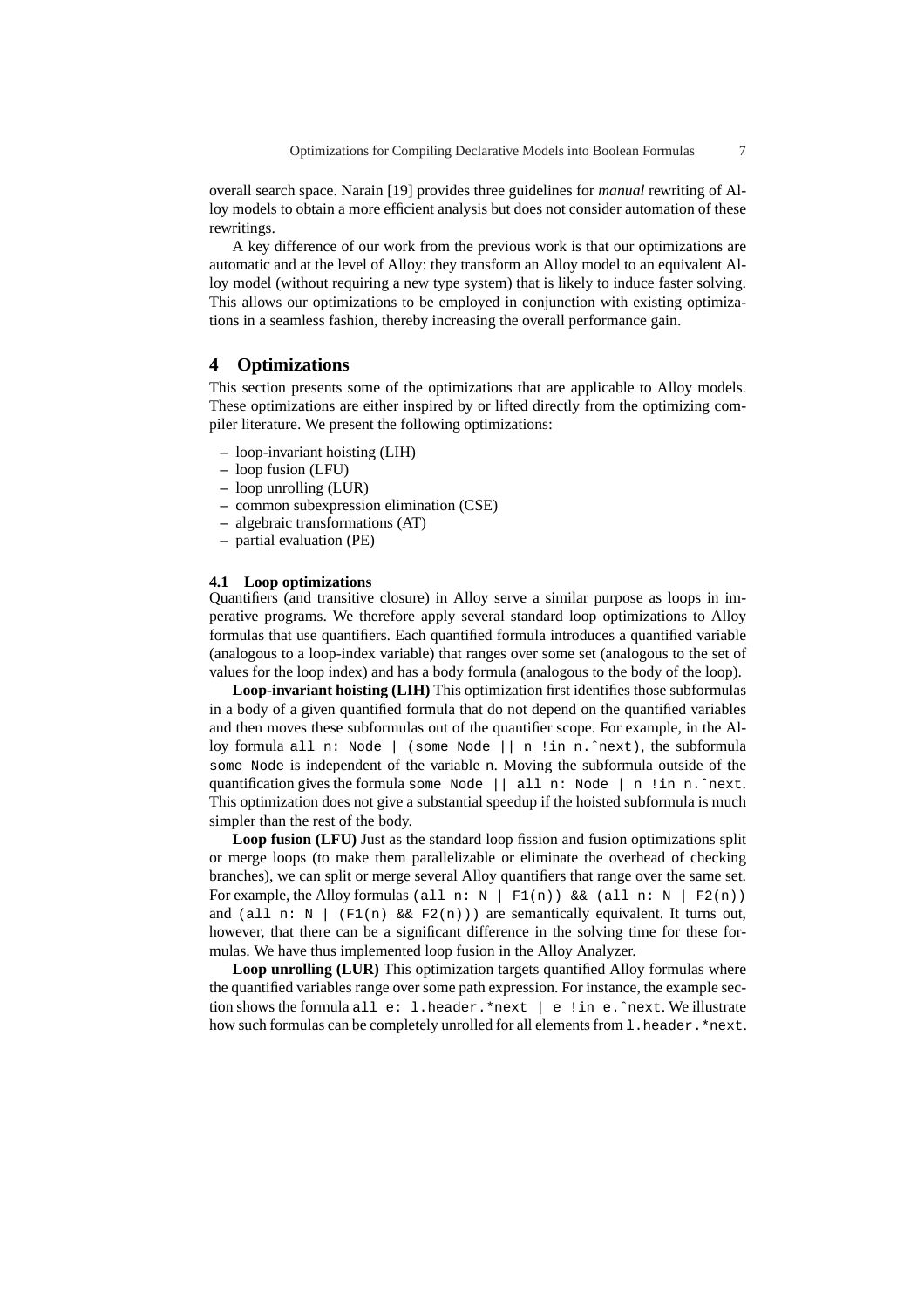overall search space. Narain [19] provides three guidelines for *manual* rewriting of Alloy models to obtain a more efficient analysis but does not consider automation of these rewritings.

A key difference of our work from the previous work is that our optimizations are automatic and at the level of Alloy: they transform an Alloy model to an equivalent Alloy model (without requiring a new type system) that is likely to induce faster solving. This allows our optimizations to be employed in conjunction with existing optimizations in a seamless fashion, thereby increasing the overall performance gain.

## **4 Optimizations**

This section presents some of the optimizations that are applicable to Alloy models. These optimizations are either inspired by or lifted directly from the optimizing compiler literature. We present the following optimizations:

- **–** loop-invariant hoisting (LIH)
- **–** loop fusion (LFU)
- **–** loop unrolling (LUR)
- **–** common subexpression elimination (CSE)
- **–** algebraic transformations (AT)
- **–** partial evaluation (PE)

#### **4.1 Loop optimizations**

Quantifiers (and transitive closure) in Alloy serve a similar purpose as loops in imperative programs. We therefore apply several standard loop optimizations to Alloy formulas that use quantifiers. Each quantified formula introduces a quantified variable (analogous to a loop-index variable) that ranges over some set (analogous to the set of values for the loop index) and has a body formula (analogous to the body of the loop).

**Loop-invariant hoisting (LIH)** This optimization first identifies those subformulas in a body of a given quantified formula that do not depend on the quantified variables and then moves these subformulas out of the quantifier scope. For example, in the Alloy formula all n: Node | (some Node || n !in n.ˆnext), the subformula some Node is independent of the variable n. Moving the subformula outside of the quantification gives the formula some Node || all n: Node | n !in n.ˆnext. This optimization does not give a substantial speedup if the hoisted subformula is much simpler than the rest of the body.

**Loop fusion (LFU)** Just as the standard loop fission and fusion optimizations split or merge loops (to make them parallelizable or eliminate the overhead of checking branches), we can split or merge several Alloy quantifiers that range over the same set. For example, the Alloy formulas (all  $n: N | F1(n)$ ) && (all  $n: N | F2(n)$ ) and (all  $n: N \mid (F1(n) \& F2(n))$ ) are semantically equivalent. It turns out, however, that there can be a significant difference in the solving time for these formulas. We have thus implemented loop fusion in the Alloy Analyzer.

**Loop unrolling (LUR)** This optimization targets quantified Alloy formulas where the quantified variables range over some path expression. For instance, the example section shows the formula all e: l.header.\*next | e !in e.ˆnext. We illustrate how such formulas can be completely unrolled for all elements from 1. header. \*next.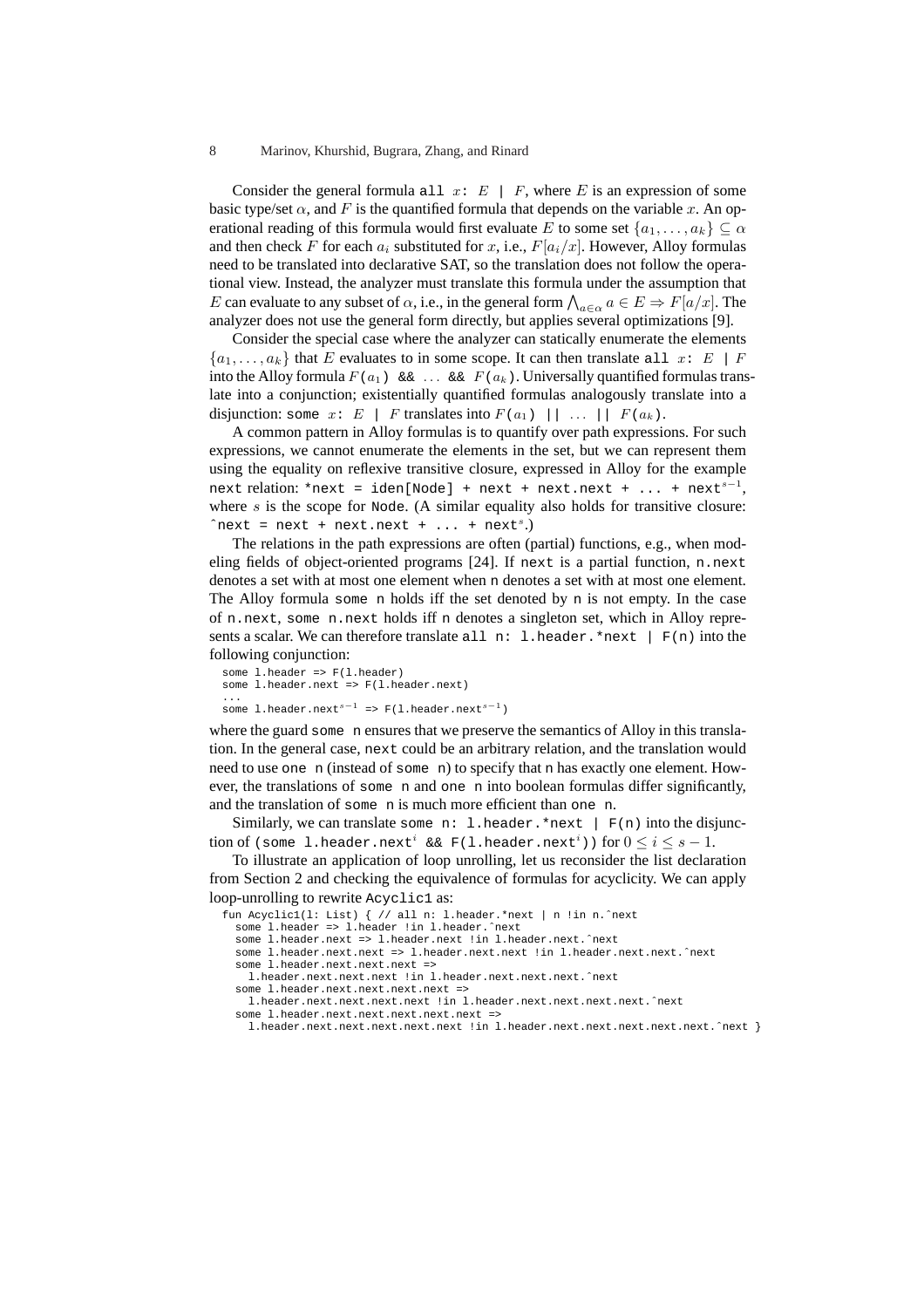Consider the general formula all  $x: E \mid F$ , where E is an expression of some basic type/set  $\alpha$ , and F is the quantified formula that depends on the variable x. An operational reading of this formula would first evaluate E to some set  $\{a_1, \ldots, a_k\} \subseteq \alpha$ and then check F for each  $a_i$  substituted for x, i.e.,  $F[a_i/x]$ . However, Alloy formulas need to be translated into declarative SAT, so the translation does not follow the operational view. Instead, the analyzer must translate this formula under the assumption that From the two controls the analyzer must transfer the solution of the assumption that E can evaluate to any subset of  $\alpha$ , i.e., in the general form  $\bigwedge_{a \in \alpha} a \in E \Rightarrow F[a/x]$ . The analyzer does not use the general form directly, but applies several optimizations [9].

Consider the special case where the analyzer can statically enumerate the elements  $\{a_1, \ldots, a_k\}$  that E evaluates to in some scope. It can then translate all  $x: E \mid F$ into the Alloy formula  $F(a_1)$  && ... &&  $F(a_k)$ . Universally quantified formulas translate into a conjunction; existentially quantified formulas analogously translate into a disjunction: some  $x: E \mid F$  translates into  $F(a_1) \mid \cdot \cdot \cdot \cdot \mid F(a_k)$ .

A common pattern in Alloy formulas is to quantify over path expressions. For such expressions, we cannot enumerate the elements in the set, but we can represent them using the equality on reflexive transitive closure, expressed in Alloy for the example next relation: \*next = iden[Node] + next + next.next +  $\ldots$  + next $^{s-1},$ where  $s$  is the scope for Node. (A similar equality also holds for transitive closure:  $\text{?next} = \text{next} + \text{next} \cdot \text{next} + \dots + \text{next} \cdot \text{next}$ 

The relations in the path expressions are often (partial) functions, e.g., when modeling fields of object-oriented programs  $[24]$ . If next is a partial function, n.next denotes a set with at most one element when n denotes a set with at most one element. The Alloy formula some n holds iff the set denoted by n is not empty. In the case of n.next, some n.next holds iff n denotes a singleton set, which in Alloy represents a scalar. We can therefore translate all  $n: 1.$  header. \*next |  $F(n)$  into the following conjunction:

```
some l.header => F(l.header)
some l.header.next => F(l.header.next)
```

```
...<br>some l.header.next<sup>s−1</sup> => F(l.header.next<sup>s−1</sup>)
```
where the guard some n ensures that we preserve the semantics of Alloy in this translation. In the general case, next could be an arbitrary relation, and the translation would need to use one n (instead of some n) to specify that n has exactly one element. However, the translations of some n and one n into boolean formulas differ significantly, and the translation of some n is much more efficient than one n.

Similarly, we can translate some  $n: 1.$  header. \*next  $|F(n)|$  into the disjunction of (some l.header.next<sup>i</sup> && F(l.header.next<sup>i</sup>)) for  $0 \le i \le s - 1$ .

To illustrate an application of loop unrolling, let us reconsider the list declaration from Section 2 and checking the equivalence of formulas for acyclicity. We can apply loop-unrolling to rewrite Acyclic1 as:

```
fun Acyclic1(l: List) { // all n: l.header.*next | n !in n.ˆnext
 some l.header => l.header !in l.header.ˆnext
 some l.header.next => l.header.next !in l.header.next.ˆnext
 some l.header.next.next => l.header.next.next !in l.header.next.next.^next
 some 1 header next next next =>
   l.header.next.next.next !in l.header.next.next.next.ˆnext
 some l.header.next.next.next.next =>
   l.header.next.next.next.next !in l.header.next.next.next.next.ˆnext
 some l.header.next.next.next.next.next =>
   l.header.next.next.next.next.next !in l.header.next.next.next.next.next.ˆnext }
```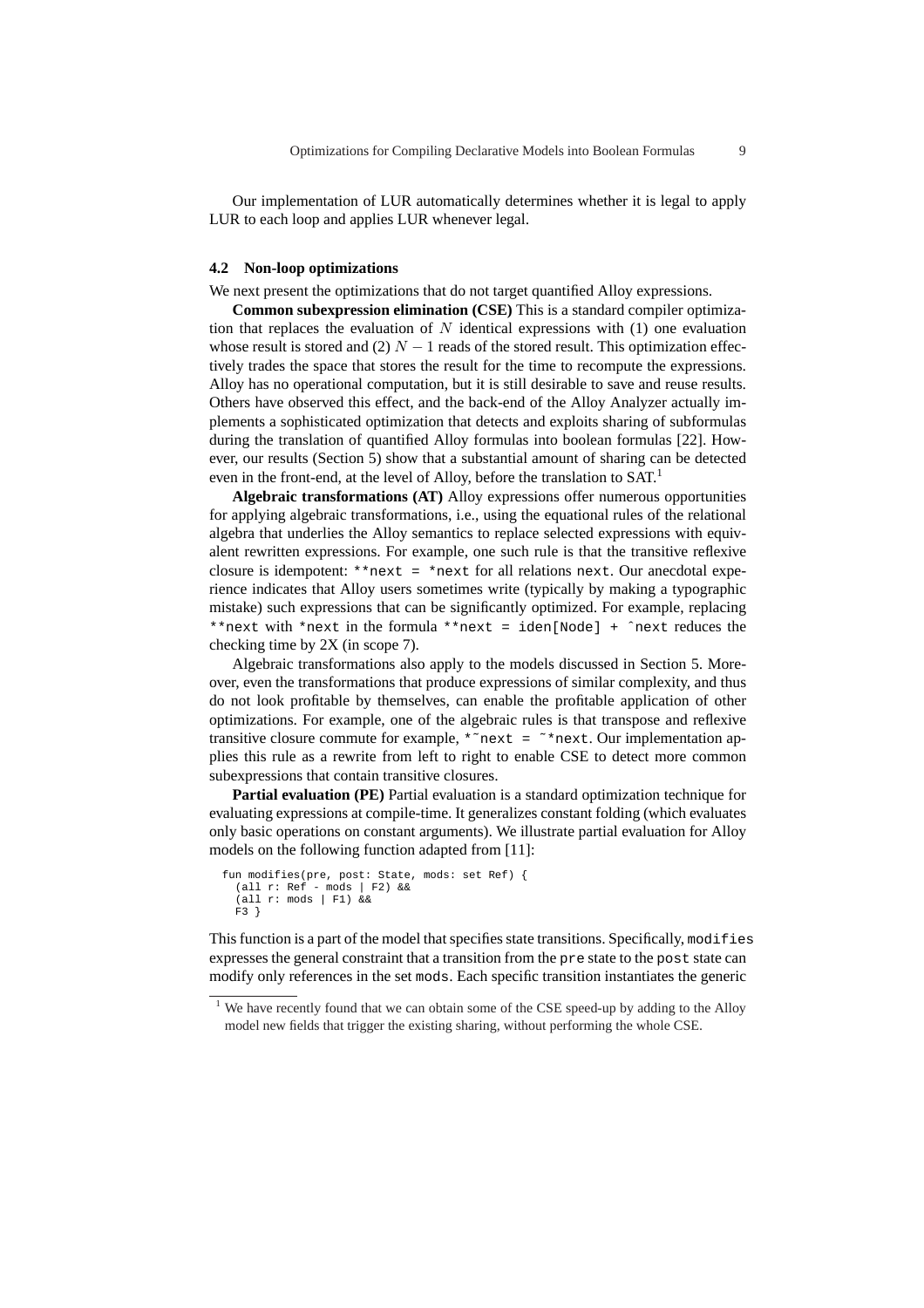Our implementation of LUR automatically determines whether it is legal to apply LUR to each loop and applies LUR whenever legal.

#### **4.2 Non-loop optimizations**

We next present the optimizations that do not target quantified Alloy expressions.

**Common subexpression elimination (CSE)** This is a standard compiler optimization that replaces the evaluation of  $N$  identical expressions with  $(1)$  one evaluation whose result is stored and (2)  $N - 1$  reads of the stored result. This optimization effectively trades the space that stores the result for the time to recompute the expressions. Alloy has no operational computation, but it is still desirable to save and reuse results. Others have observed this effect, and the back-end of the Alloy Analyzer actually implements a sophisticated optimization that detects and exploits sharing of subformulas during the translation of quantified Alloy formulas into boolean formulas [22]. However, our results (Section 5) show that a substantial amount of sharing can be detected even in the front-end, at the level of Alloy, before the translation to SAT.<sup>1</sup>

**Algebraic transformations (AT)** Alloy expressions offer numerous opportunities for applying algebraic transformations, i.e., using the equational rules of the relational algebra that underlies the Alloy semantics to replace selected expressions with equivalent rewritten expressions. For example, one such rule is that the transitive reflexive closure is idempotent:  $*<sub>next</sub> = *<sub>next</sub>$  for all relations next. Our anecdotal experience indicates that Alloy users sometimes write (typically by making a typographic mistake) such expressions that can be significantly optimized. For example, replacing \*\*next with \*next in the formula \*\*next = iden[Node] + ˆnext reduces the checking time by 2X (in scope 7).

Algebraic transformations also apply to the models discussed in Section 5. Moreover, even the transformations that produce expressions of similar complexity, and thus do not look profitable by themselves, can enable the profitable application of other optimizations. For example, one of the algebraic rules is that transpose and reflexive transitive closure commute for example, \*~next = ~\*next. Our implementation applies this rule as a rewrite from left to right to enable CSE to detect more common subexpressions that contain transitive closures.

**Partial evaluation (PE)** Partial evaluation is a standard optimization technique for evaluating expressions at compile-time. It generalizes constant folding (which evaluates only basic operations on constant arguments). We illustrate partial evaluation for Alloy models on the following function adapted from [11]:

```
fun modifies(pre, post: State, mods: set Ref) {
   (all r: Ref - mods | F2) &&
(all r: mods | F1) &&
  F3 }
```
This function is a part of the model that specifies state transitions. Specifically, modifies expresses the general constraint that a transition from the pre state to the post state can modify only references in the set mods. Each specific transition instantiates the generic

 $1$  We have recently found that we can obtain some of the CSE speed-up by adding to the Alloy model new fields that trigger the existing sharing, without performing the whole CSE.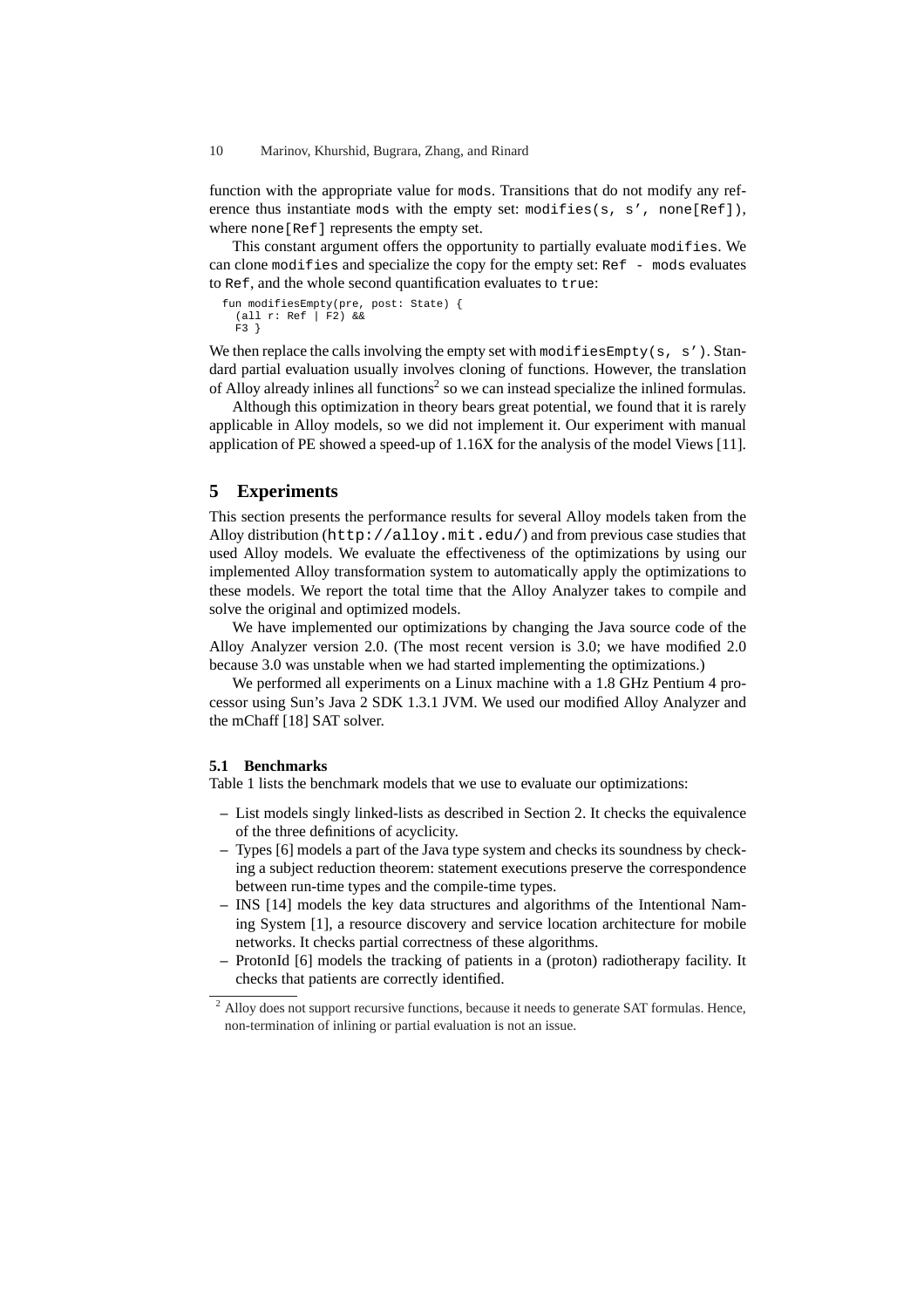function with the appropriate value for mods. Transitions that do not modify any reference thus instantiate mods with the empty set: modifies(s, s', none[Ref]), where none [Ref] represents the empty set.

This constant argument offers the opportunity to partially evaluate modifies. We can clone modifies and specialize the copy for the empty set: Ref - mods evaluates to Ref, and the whole second quantification evaluates to true:

```
fun modifiesEmpty(pre, post: State) {
(all r: Ref | F2) &&
  F3 }
```
We then replace the calls involving the empty set with modifies  $Empty(s, s')$ . Standard partial evaluation usually involves cloning of functions. However, the translation of Alloy already inlines all functions<sup>2</sup> so we can instead specialize the inlined formulas.

Although this optimization in theory bears great potential, we found that it is rarely applicable in Alloy models, so we did not implement it. Our experiment with manual application of PE showed a speed-up of 1.16X for the analysis of the model Views [11].

## **5 Experiments**

This section presents the performance results for several Alloy models taken from the Alloy distribution (http://alloy.mit.edu/) and from previous case studies that used Alloy models. We evaluate the effectiveness of the optimizations by using our implemented Alloy transformation system to automatically apply the optimizations to these models. We report the total time that the Alloy Analyzer takes to compile and solve the original and optimized models.

We have implemented our optimizations by changing the Java source code of the Alloy Analyzer version 2.0. (The most recent version is 3.0; we have modified 2.0 because 3.0 was unstable when we had started implementing the optimizations.)

We performed all experiments on a Linux machine with a 1.8 GHz Pentium 4 processor using Sun's Java 2 SDK 1.3.1 JVM. We used our modified Alloy Analyzer and the mChaff [18] SAT solver.

#### **5.1 Benchmarks**

Table 1 lists the benchmark models that we use to evaluate our optimizations:

- **–** List models singly linked-lists as described in Section 2. It checks the equivalence of the three definitions of acyclicity.
- **–** Types [6] models a part of the Java type system and checks its soundness by checking a subject reduction theorem: statement executions preserve the correspondence between run-time types and the compile-time types.
- **–** INS [14] models the key data structures and algorithms of the Intentional Naming System [1], a resource discovery and service location architecture for mobile networks. It checks partial correctness of these algorithms.
- **–** ProtonId [6] models the tracking of patients in a (proton) radiotherapy facility. It checks that patients are correctly identified.

 $2$  Alloy does not support recursive functions, because it needs to generate SAT formulas. Hence, non-termination of inlining or partial evaluation is not an issue.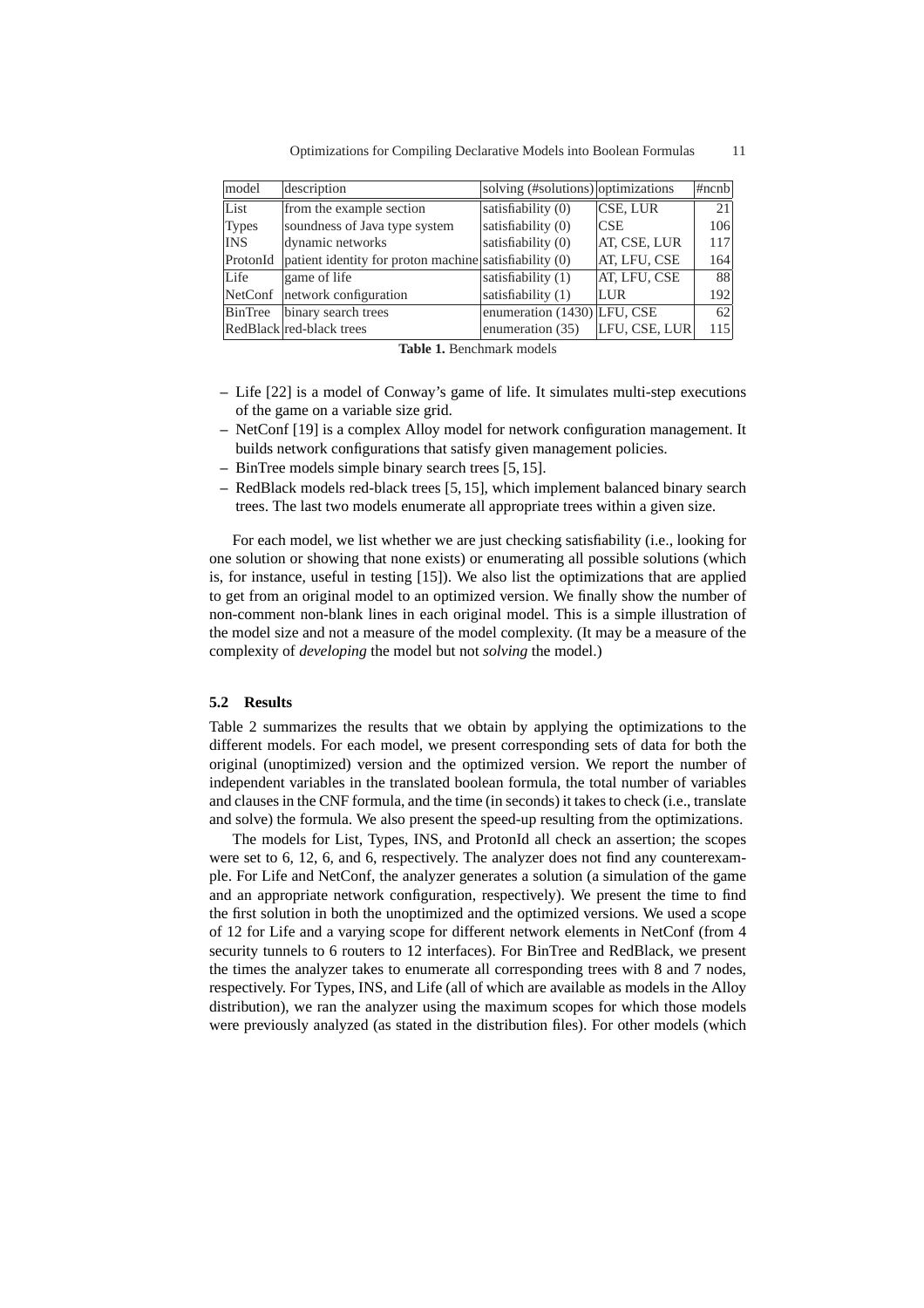Optimizations for Compiling Declarative Models into Boolean Formulas 11

| model        | description                                            | solving (#solutions) optimizations |               | $ \#n$ cnb |
|--------------|--------------------------------------------------------|------------------------------------|---------------|------------|
| List         | from the example section                               | satisfiability (0)                 | CSE, LUR      | 21         |
| <b>Types</b> | soundness of Java type system                          | satisfiability $(0)$               | <b>CSE</b>    | 106        |
| <b>INS</b>   | dynamic networks                                       | satisfiability (0)                 | AT, CSE, LUR  | 117        |
| ProtonId     | patient identity for proton machine satisfiability (0) |                                    | AT, LFU, CSE  | 164        |
| Life         | game of life                                           | satisfiability (1)                 | AT, LFU, CSE  | 88         |
| NetConf      | network configuration                                  | satisfiability (1)                 | LUR           | 192        |
| BinTree      | binary search trees                                    | enumeration (1430) LFU, CSE        |               | 62         |
|              | RedBlack red-black trees                               | enumeration (35)                   | LFU, CSE, LUR | 115        |

- **–** Life [22] is a model of Conway's game of life. It simulates multi-step executions of the game on a variable size grid.
- **–** NetConf [19] is a complex Alloy model for network configuration management. It builds network configurations that satisfy given management policies.
- **–** BinTree models simple binary search trees [5, 15].
- **–** RedBlack models red-black trees [5, 15], which implement balanced binary search trees. The last two models enumerate all appropriate trees within a given size.

For each model, we list whether we are just checking satisfiability (i.e., looking for one solution or showing that none exists) or enumerating all possible solutions (which is, for instance, useful in testing [15]). We also list the optimizations that are applied to get from an original model to an optimized version. We finally show the number of non-comment non-blank lines in each original model. This is a simple illustration of the model size and not a measure of the model complexity. (It may be a measure of the complexity of *developing* the model but not *solving* the model.)

# **5.2 Results**

Table 2 summarizes the results that we obtain by applying the optimizations to the different models. For each model, we present corresponding sets of data for both the original (unoptimized) version and the optimized version. We report the number of independent variables in the translated boolean formula, the total number of variables and clauses in the CNF formula, and the time (in seconds) it takes to check (i.e., translate and solve) the formula. We also present the speed-up resulting from the optimizations.

The models for List, Types, INS, and ProtonId all check an assertion; the scopes were set to 6, 12, 6, and 6, respectively. The analyzer does not find any counterexample. For Life and NetConf, the analyzer generates a solution (a simulation of the game and an appropriate network configuration, respectively). We present the time to find the first solution in both the unoptimized and the optimized versions. We used a scope of 12 for Life and a varying scope for different network elements in NetConf (from 4 security tunnels to 6 routers to 12 interfaces). For BinTree and RedBlack, we present the times the analyzer takes to enumerate all corresponding trees with 8 and 7 nodes, respectively. For Types, INS, and Life (all of which are available as models in the Alloy distribution), we ran the analyzer using the maximum scopes for which those models were previously analyzed (as stated in the distribution files). For other models (which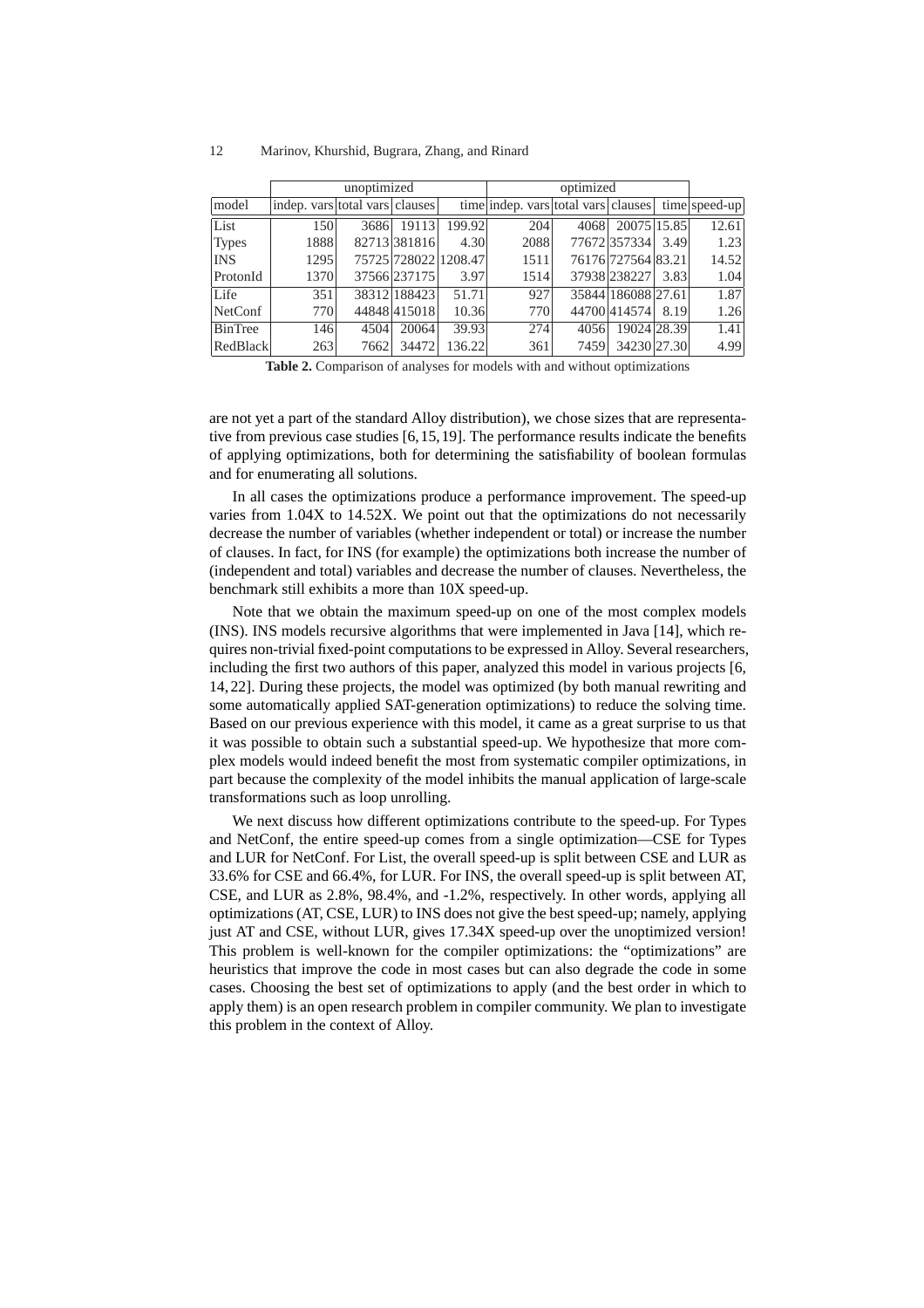|              | unoptimized                    |      |              | optimized            |                                     |      |                    |      |               |
|--------------|--------------------------------|------|--------------|----------------------|-------------------------------------|------|--------------------|------|---------------|
| model        | indep. vars total vars clauses |      |              |                      | time indep. vars total vars clauses |      |                    |      | time speed-up |
| List         | 150                            | 3686 | 19113        | 199.92               | 204                                 | 4068 | 20075 15.85        |      | 12.61         |
| <b>Types</b> | 1888                           |      | 82713 381816 | 4.30                 | 2088                                |      | 77672 357334       | 3.49 | 1.23          |
| <b>INS</b>   | 1295                           |      |              | 75725 728022 1208.47 | 1511                                |      | 76176 727564 83.21 |      | 14.52         |
| ProtonId     | 1370                           |      | 37566 237175 | 3.97                 | 1514                                |      | 37938 238227       | 3.83 | 1.04          |
| Life         | 351                            |      | 38312 188423 | 51.71                | 927                                 |      | 35844 186088 27.61 |      | 1.87          |
| NetConf      | 770                            |      | 44848 415018 | 10.36                | 770                                 |      | 44700 414574       | 8.19 | 1.26          |
| BinTree      | 146                            | 4504 | 20064        | 39.93                | 274                                 | 4056 | 19024 28.39        |      | 1.41          |
| RedBlack     | 263                            | 7662 | 34472        | 136.22               | 361                                 | 7459 | 34230 27.30        |      | 4.99          |

**Table 2.** Comparison of analyses for models with and without optimizations

are not yet a part of the standard Alloy distribution), we chose sizes that are representative from previous case studies [6,15,19]. The performance results indicate the benefits of applying optimizations, both for determining the satisfiability of boolean formulas and for enumerating all solutions.

In all cases the optimizations produce a performance improvement. The speed-up varies from 1.04X to 14.52X. We point out that the optimizations do not necessarily decrease the number of variables (whether independent or total) or increase the number of clauses. In fact, for INS (for example) the optimizations both increase the number of (independent and total) variables and decrease the number of clauses. Nevertheless, the benchmark still exhibits a more than 10X speed-up.

Note that we obtain the maximum speed-up on one of the most complex models (INS). INS models recursive algorithms that were implemented in Java [14], which requires non-trivial fixed-point computations to be expressed in Alloy. Several researchers, including the first two authors of this paper, analyzed this model in various projects [6, 14, 22]. During these projects, the model was optimized (by both manual rewriting and some automatically applied SAT-generation optimizations) to reduce the solving time. Based on our previous experience with this model, it came as a great surprise to us that it was possible to obtain such a substantial speed-up. We hypothesize that more complex models would indeed benefit the most from systematic compiler optimizations, in part because the complexity of the model inhibits the manual application of large-scale transformations such as loop unrolling.

We next discuss how different optimizations contribute to the speed-up. For Types and NetConf, the entire speed-up comes from a single optimization—CSE for Types and LUR for NetConf. For List, the overall speed-up is split between CSE and LUR as 33.6% for CSE and 66.4%, for LUR. For INS, the overall speed-up is split between AT, CSE, and LUR as 2.8%, 98.4%, and -1.2%, respectively. In other words, applying all optimizations (AT, CSE, LUR) to INS does not give the best speed-up; namely, applying just AT and CSE, without LUR, gives 17.34X speed-up over the unoptimized version! This problem is well-known for the compiler optimizations: the "optimizations" are heuristics that improve the code in most cases but can also degrade the code in some cases. Choosing the best set of optimizations to apply (and the best order in which to apply them) is an open research problem in compiler community. We plan to investigate this problem in the context of Alloy.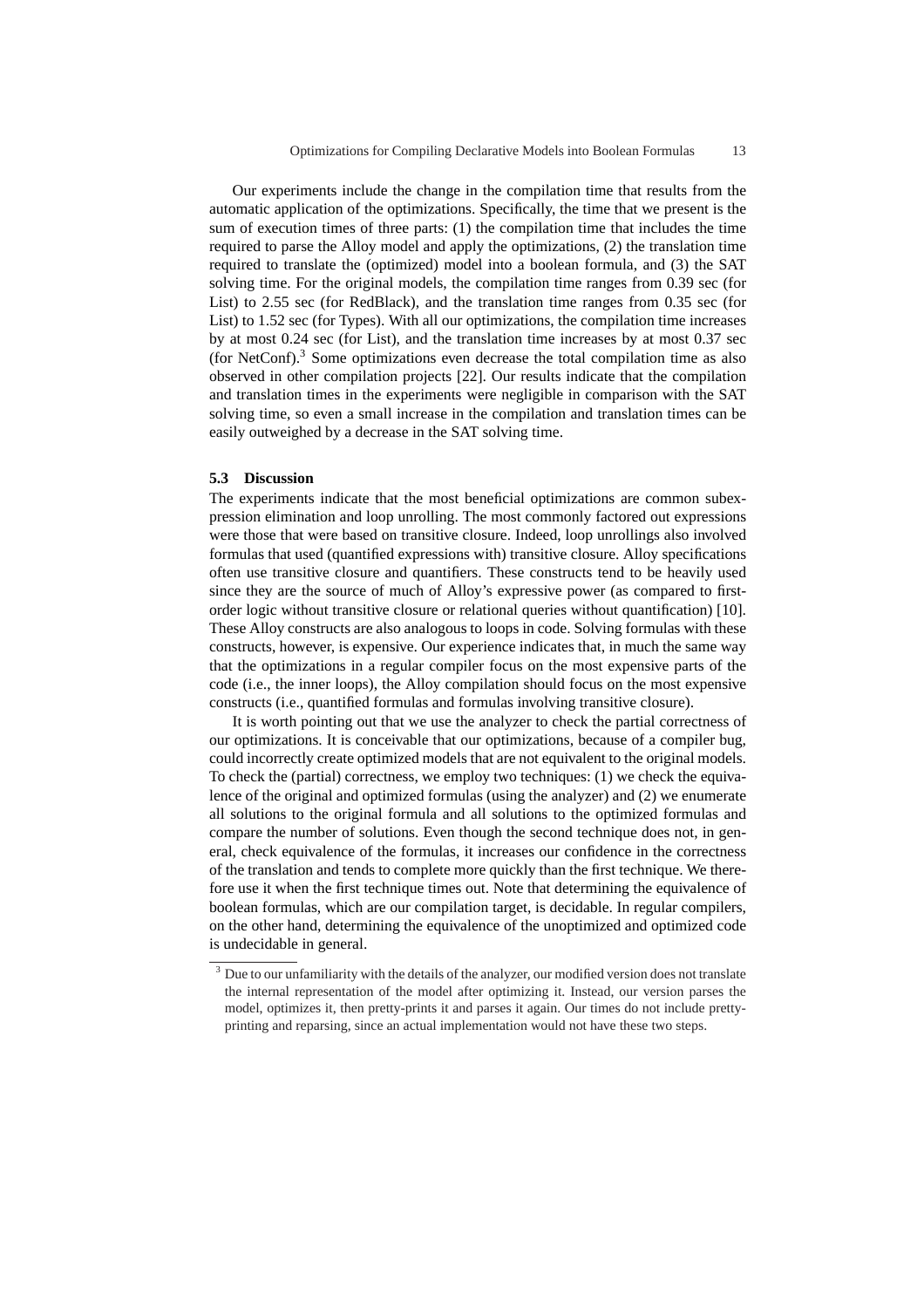Our experiments include the change in the compilation time that results from the automatic application of the optimizations. Specifically, the time that we present is the sum of execution times of three parts: (1) the compilation time that includes the time required to parse the Alloy model and apply the optimizations, (2) the translation time required to translate the (optimized) model into a boolean formula, and (3) the SAT solving time. For the original models, the compilation time ranges from 0.39 sec (for List) to 2.55 sec (for RedBlack), and the translation time ranges from 0.35 sec (for List) to 1.52 sec (for Types). With all our optimizations, the compilation time increases by at most 0.24 sec (for List), and the translation time increases by at most 0.37 sec (for NetConf). $3$  Some optimizations even decrease the total compilation time as also observed in other compilation projects [22]. Our results indicate that the compilation and translation times in the experiments were negligible in comparison with the SAT solving time, so even a small increase in the compilation and translation times can be easily outweighed by a decrease in the SAT solving time.

#### **5.3 Discussion**

The experiments indicate that the most beneficial optimizations are common subexpression elimination and loop unrolling. The most commonly factored out expressions were those that were based on transitive closure. Indeed, loop unrollings also involved formulas that used (quantified expressions with) transitive closure. Alloy specifications often use transitive closure and quantifiers. These constructs tend to be heavily used since they are the source of much of Alloy's expressive power (as compared to firstorder logic without transitive closure or relational queries without quantification) [10]. These Alloy constructs are also analogous to loops in code. Solving formulas with these constructs, however, is expensive. Our experience indicates that, in much the same way that the optimizations in a regular compiler focus on the most expensive parts of the code (i.e., the inner loops), the Alloy compilation should focus on the most expensive constructs (i.e., quantified formulas and formulas involving transitive closure).

It is worth pointing out that we use the analyzer to check the partial correctness of our optimizations. It is conceivable that our optimizations, because of a compiler bug, could incorrectly create optimized models that are not equivalent to the original models. To check the (partial) correctness, we employ two techniques: (1) we check the equivalence of the original and optimized formulas (using the analyzer) and (2) we enumerate all solutions to the original formula and all solutions to the optimized formulas and compare the number of solutions. Even though the second technique does not, in general, check equivalence of the formulas, it increases our confidence in the correctness of the translation and tends to complete more quickly than the first technique. We therefore use it when the first technique times out. Note that determining the equivalence of boolean formulas, which are our compilation target, is decidable. In regular compilers, on the other hand, determining the equivalence of the unoptimized and optimized code is undecidable in general.

<sup>&</sup>lt;sup>3</sup> Due to our unfamiliarity with the details of the analyzer, our modified version does not translate the internal representation of the model after optimizing it. Instead, our version parses the model, optimizes it, then pretty-prints it and parses it again. Our times do not include prettyprinting and reparsing, since an actual implementation would not have these two steps.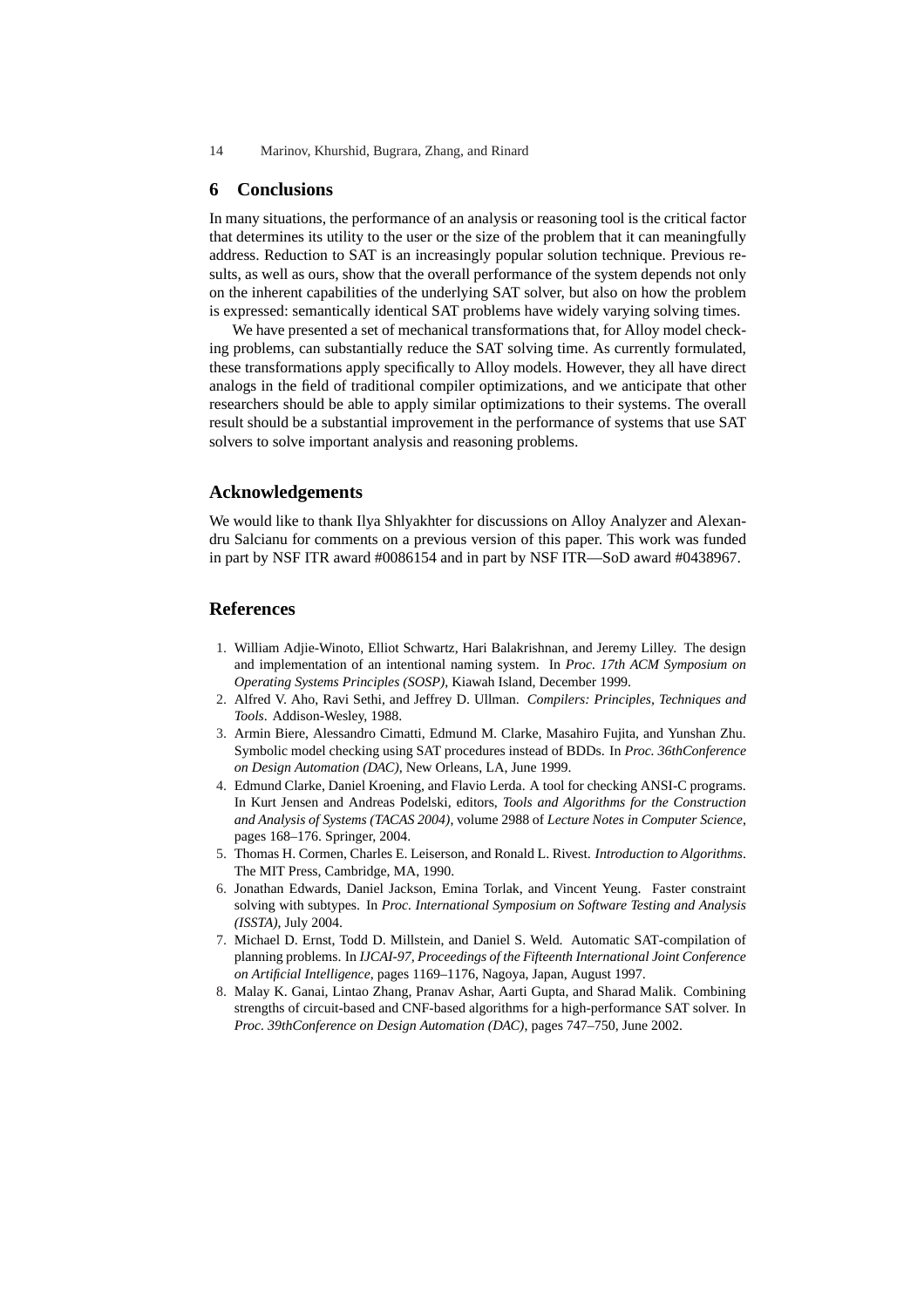## **6 Conclusions**

In many situations, the performance of an analysis or reasoning tool is the critical factor that determines its utility to the user or the size of the problem that it can meaningfully address. Reduction to SAT is an increasingly popular solution technique. Previous results, as well as ours, show that the overall performance of the system depends not only on the inherent capabilities of the underlying SAT solver, but also on how the problem is expressed: semantically identical SAT problems have widely varying solving times.

We have presented a set of mechanical transformations that, for Alloy model checking problems, can substantially reduce the SAT solving time. As currently formulated, these transformations apply specifically to Alloy models. However, they all have direct analogs in the field of traditional compiler optimizations, and we anticipate that other researchers should be able to apply similar optimizations to their systems. The overall result should be a substantial improvement in the performance of systems that use SAT solvers to solve important analysis and reasoning problems.

# **Acknowledgements**

We would like to thank Ilya Shlyakhter for discussions on Alloy Analyzer and Alexandru Salcianu for comments on a previous version of this paper. This work was funded in part by NSF ITR award #0086154 and in part by NSF ITR—SoD award #0438967.

# **References**

- 1. William Adjie-Winoto, Elliot Schwartz, Hari Balakrishnan, and Jeremy Lilley. The design and implementation of an intentional naming system. In *Proc. 17th ACM Symposium on Operating Systems Principles (SOSP)*, Kiawah Island, December 1999.
- 2. Alfred V. Aho, Ravi Sethi, and Jeffrey D. Ullman. *Compilers: Principles, Techniques and Tools*. Addison-Wesley, 1988.
- 3. Armin Biere, Alessandro Cimatti, Edmund M. Clarke, Masahiro Fujita, and Yunshan Zhu. Symbolic model checking using SAT procedures instead of BDDs. In *Proc. 36thConference on Design Automation (DAC)*, New Orleans, LA, June 1999.
- 4. Edmund Clarke, Daniel Kroening, and Flavio Lerda. A tool for checking ANSI-C programs. In Kurt Jensen and Andreas Podelski, editors, *Tools and Algorithms for the Construction and Analysis of Systems (TACAS 2004)*, volume 2988 of *Lecture Notes in Computer Science*, pages 168–176. Springer, 2004.
- 5. Thomas H. Cormen, Charles E. Leiserson, and Ronald L. Rivest. *Introduction to Algorithms*. The MIT Press, Cambridge, MA, 1990.
- 6. Jonathan Edwards, Daniel Jackson, Emina Torlak, and Vincent Yeung. Faster constraint solving with subtypes. In *Proc. International Symposium on Software Testing and Analysis (ISSTA)*, July 2004.
- 7. Michael D. Ernst, Todd D. Millstein, and Daniel S. Weld. Automatic SAT-compilation of planning problems. In *IJCAI-97, Proceedings of the Fifteenth International Joint Conference on Artificial Intelligence*, pages 1169–1176, Nagoya, Japan, August 1997.
- 8. Malay K. Ganai, Lintao Zhang, Pranav Ashar, Aarti Gupta, and Sharad Malik. Combining strengths of circuit-based and CNF-based algorithms for a high-performance SAT solver. In *Proc. 39thConference on Design Automation (DAC)*, pages 747–750, June 2002.

<sup>14</sup> Marinov, Khurshid, Bugrara, Zhang, and Rinard